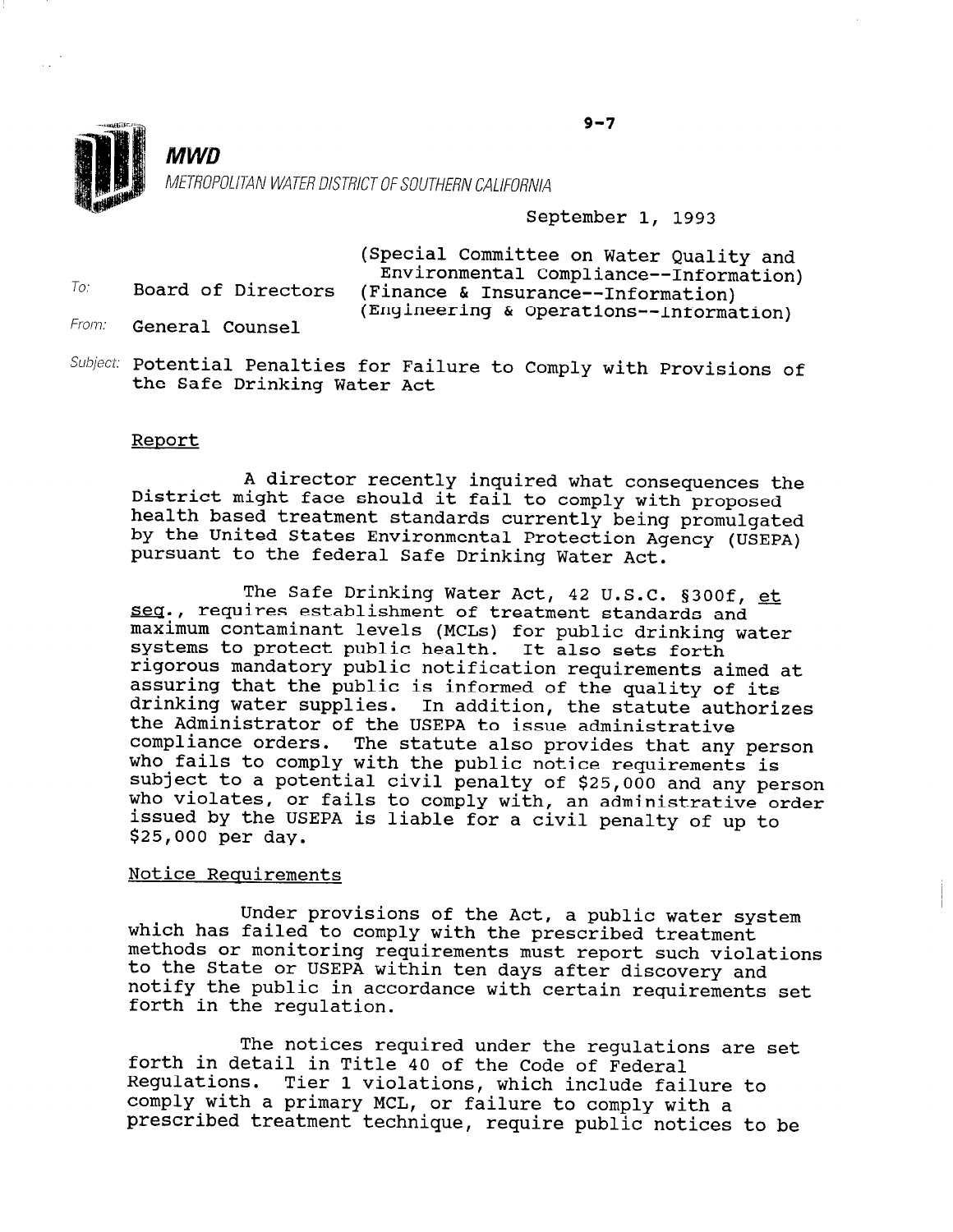

To.

MWD

## METROPOLITAN WATER DISTRICT OF SOUTHERN CALIFORNIA

### September 1, 1993

(Special Committee on Water Quality and Environmental Compliance--Information) Board of Directors (Finance & Insurance--Information) (Engineering & Operations--Information)

- Fran: General Counsel
- $Subject:$  Potential Penalties for Failure to Comply with Provisions of the Safe Drinking Water Act

#### Report

A director recently inquired what consequences the<br>District might face should it fail to comply with proposed District might face should it fail to comply with proposed<br>health based treatment standards currently being promulgated by the United States Environmental Protection Agency (USEPA) pursuant to the federal Safe Drinking Water Act.

The Safe Drinking Water Act, 42 U.S.C. §300f, et seq., requires establishment of treatment standards and maximum contaminant levels (MCLs) for public drinking water maximum concaminant levels (MCDS) for public drinkly<br>Systems to protect public health. It also sets fort rigorous no process public nearen. It also sets forth and the attack of the attack and attack at the attack of rigorous mandatory public notification requirements aimed at assuring that the public is informed of the quality of its abbuting that the public is informed of the quality of Its.<br>drinking water supplies. In addition, the statute authoriz arriming water suppries. In addition, the Statute the Administrator of the USEPA to issue administrative<br>compliance orders. The statute also provides that any person comprimate orders. The statute also provides that any per who fails to comply with the public hotice requirements is subject to a potential civil penalty of \$25,000 and any person who violates, or fails to comply with, an administrative order issued by the USEPA is liable for a civil penalty of up to \$25,000 per day.

#### Notice Reauirements

Under provisions of the Act, a public water system under provisions of the Act, a public water which has failed to comply with the prescribed treatment methods or monitoring requirements must report such violations to the State or USEPA within ten days after discovery and notify the public in accordance with certain requirements set forth in the requlation.

The notices required under the regulations are set for the in the notices required under the regulation of  $f$ forth in detail in Title 40 of the Code of Federal Regulations. Tier 1 violations, which include failure to comply with a primary MCL, or failure to comply with a<br>prescribed treatment technique, require public notices to be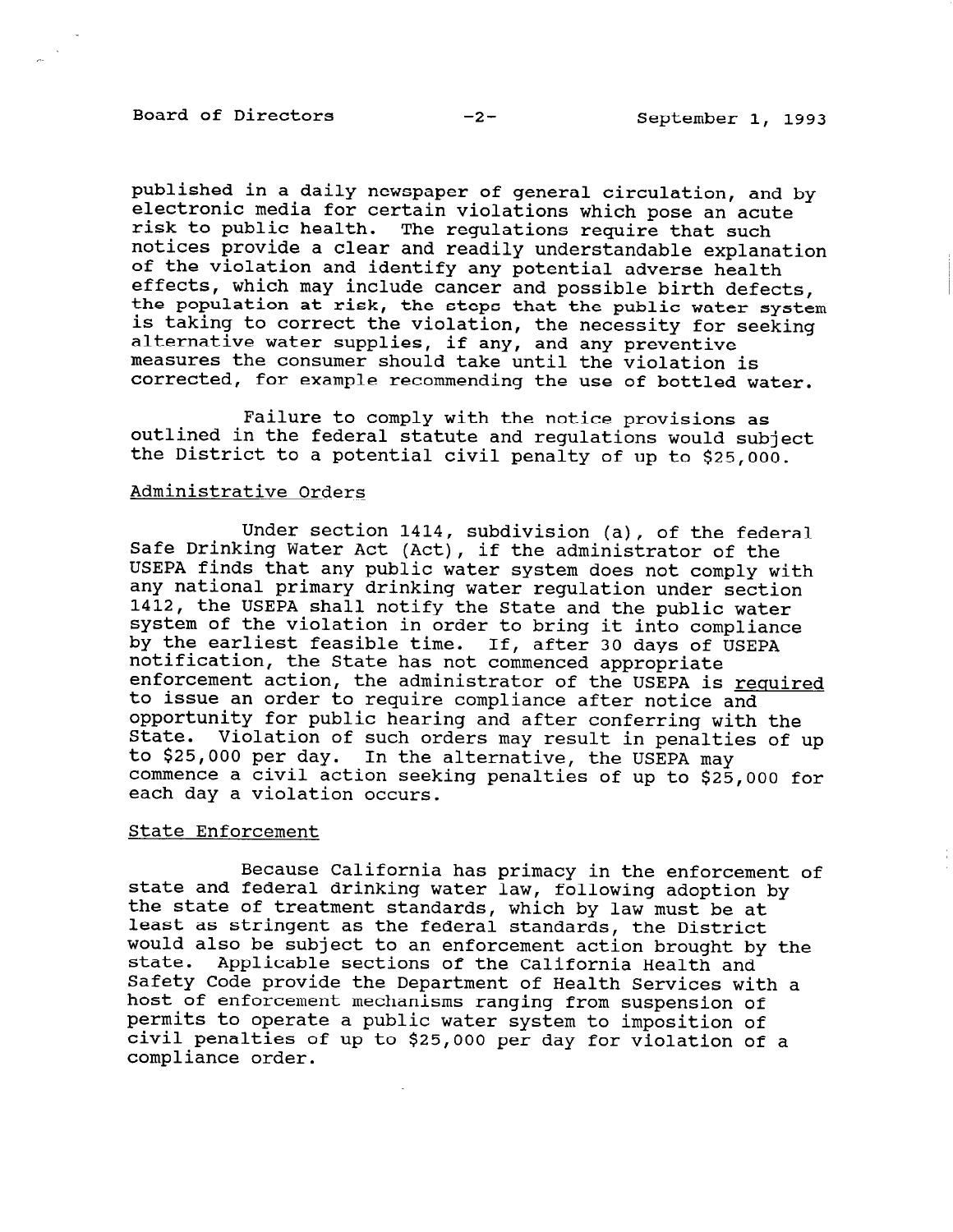# Board of Directors -2- September 1, 1993

published in a daily newspaper of general circulation, and by electronic media for certain violations which pose an acute risk to public health. The regulations require that such notices provide a clear and readily understandable explanation of the violation and identify any potential adverse health effects, which may include cancer and possible birth defects, the population at risk, the steps that the public water system is taking to correct the violation, the necessity for seeking alternative water supplies, if any, and any preventive measures the consumer should take until the violation is corrected, for example recommending the use of bottled water.

Failure to comply with the notice provisions as outlined in the federal statute and regulations would subject the District to a potential civil penalty of up to \$25,000.

#### Administrative Orders

Under section 1414, subdivision (a), of the federal Safe Drinking Water Act (Act), if the administrator of the USEPA finds that any public water system does not comply with any national primary drinking water regulation under section 1412, the USEPA shall notify the State and the public water system of the violation in order to bring it into compliance by the earliest feasible time. z*i* sne e<br>notifica It willing it filled compilant t fouriert time. If, after so days<br>the State has not commenced appropri nocirication, the state has not commenced appropriate to issue an order to require compliance after notice and to issue an order to require compliance after notice and opportunity for public hearing and after conferring with the State. Violation of such orders may result in penalties of up beace. The day is such orders may result in penarti-<br>to \$25,000 per day. In the alternative, the USEPA may co yzo, ooo per day. In the arternative, the USEPA May commence a civil action ser

#### State Enforcement

 $B_n$ ecause California has primacy in the entonioned of entonioned of entonioned of  $\alpha$ state california has primacy in the enforcement state and federal drinking water law, following adoption<br>the state of treatment standards, which by law must be at Least as stringent as the federal standards, the District De reast as suringent as the rederal standards, the District would also be subject to an enforcement action prought b state. Applicable sections of the California Health and<br>Gefety Code www.depthene balety code provide the Department of Health Services wit host of enforcement mechanisms ranging from suspension of permits to operate a public water system to imposition of civil penalties of up to \$25,000 per day for violation of a compliance order.